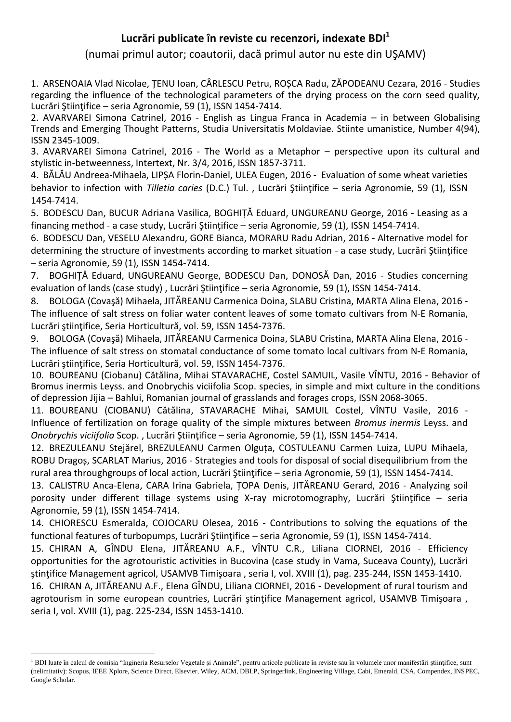## **Lucrări publicate în reviste cu recenzori, indexate BDI<sup>1</sup>**

(numai primul autor; coautorii, dacă primul autor nu este din UŞAMV)

1. ARSENOAIA Vlad Nicolae, ȚENU Ioan, CÂRLESCU Petru, ROȘCA Radu, ZĂPODEANU Cezara, 2016 - Studies regarding the influence of the technological parameters of the drying process on the corn seed quality, Lucrări Ştiinţifice – seria Agronomie, 59 (1), ISSN 1454-7414.

2. AVARVAREI Simona Catrinel, 2016 - English as Lingua Franca in Academia – in between Globalising Trends and Emerging Thought Patterns, Studia Universitatis Moldaviae. Stiinte umanistice, Number 4(94), ISSN 2345-1009.

3. AVARVAREI Simona Catrinel, 2016 - The World as a Metaphor – perspective upon its cultural and stylistic in-betweenness, Intertext, Nr. 3/4, 2016, ISSN 1857-3711.

4. BĂLĂU Andreea-Mihaela, LIPȘA Florin-Daniel, ULEA Eugen, 2016 - Evaluation of some wheat varieties behavior to infection with *Tilletia caries* (D.C.) Tul. , Lucrări Ştiinţifice – seria Agronomie, 59 (1), ISSN 1454-7414.

5. BODESCU Dan, BUCUR Adriana Vasilica, BOGHIȚĂ Eduard, UNGUREANU George, 2016 - Leasing as a financing method - a case study, Lucrări Științifice – seria Agronomie, 59 (1), ISSN 1454-7414.

6. BODESCU Dan, VESELU Alexandru, GORE Bianca, MORARU Radu Adrian, 2016 - Alternative model for determining the structure of investments according to market situation - a case study, Lucrări Stiintifice – seria Agronomie, 59 (1), ISSN 1454-7414.

7. BOGHIŢĂ Eduard, UNGUREANU George, BODESCU Dan, DONOSĂ Dan, 2016 - Studies concerning evaluation of lands (case study) , Lucrări Ştiinţifice – seria Agronomie, 59 (1), ISSN 1454-7414.

8. BOLOGA (Covaşă) Mihaela, JITĂREANU Carmenica Doina, SLABU Cristina, MARTA Alina Elena, 2016 - The influence of salt stress on foliar water content leaves of some tomato cultivars from N-E Romania, Lucrări ştiinţifice, Seria Horticultură, vol. 59, ISSN 1454-7376.

9. BOLOGA (Covaşă) Mihaela, JITĂREANU Carmenica Doina, SLABU Cristina, MARTA Alina Elena, 2016 - The influence of salt stress on stomatal conductance of some tomato local cultivars from N-E Romania, Lucrări ştiinţifice, Seria Horticultură, vol. 59, ISSN 1454-7376.

10. BOUREANU (Ciobanu) Cătălina, Mihai STAVARACHE, Costel SAMUIL, Vasile VÎNTU, 2016 - Behavior of Bromus inermis Leyss. and Onobrychis viciifolia Scop. species, in simple and mixt culture in the conditions of depression Jijia – Bahlui, Romanian journal of grasslands and forages crops, ISSN 2068-3065.

11. BOUREANU (CIOBANU) Cătălina, STAVARACHE Mihai, SAMUIL Costel, VÎNTU Vasile, 2016 - Influence of fertilization on forage quality of the simple mixtures between *Bromus inermis* Leyss. and *Onobrychis viciifolia* Scop. , Lucrări Ştiinţifice – seria Agronomie, 59 (1), ISSN 1454-7414.

12. BREZULEANU Stejărel, BREZULEANU Carmen Olguța, COSTULEANU Carmen Luiza, LUPU Mihaela, ROBU Dragoș, SCARLAT Marius, 2016 - Strategies and tools for disposal of social disequilibrium from the rural area throughgroups of local action, Lucrări Ştiinţifice – seria Agronomie, 59 (1), ISSN 1454-7414.

13. CALISTRU Anca-Elena, CARA Irina Gabriela, ȚOPA Denis, JITĂREANU Gerard, 2016 - Analyzing soil porosity under different tillage systems using X-ray microtomography, Lucrări Ştiinţifice – seria Agronomie, 59 (1), ISSN 1454-7414.

14. CHIORESCU Esmeralda, COJOCARU Olesea, 2016 - Contributions to solving the equations of the functional features of turbopumps, Lucrări Ştiinţifice – seria Agronomie, 59 (1), ISSN 1454-7414.

15. CHIRAN A, GÎNDU Elena, JITĂREANU A.F., VÎNTU C.R., Liliana CIORNEI, 2016 - Efficiency opportunities for the agrotouristic activities in Bucovina (case study in Vama, Suceava County), Lucrări ştinţifice Management agricol, USAMVB Timişoara , seria I, vol. XVIII (1), pag. 235-244, ISSN 1453-1410.

16. CHIRAN A, JITĂREANU A.F., Elena GÎNDU, Liliana CIORNEI, 2016 - Development of rural tourism and agrotourism in some european countries, Lucrări ștințifice Management agricol, USAMVB Timișoara, seria I, vol. XVIII (1), pag. 225-234, ISSN 1453-1410.

1

<sup>&</sup>lt;sup>1</sup> BDI luate în calcul de comisia "Ingineria Resurselor Vegetale și Animale", pentru articole publicate în reviste sau în volumele unor manifestări științifice, sunt (nelimitativ): Scopus, IEEE Xplore, Science Direct, Elsevier, Wiley, ACM, DBLP, Springerlink, Engineering Village, Cabi, Emerald, CSA, Compendex, INSPEC, Google Scholar.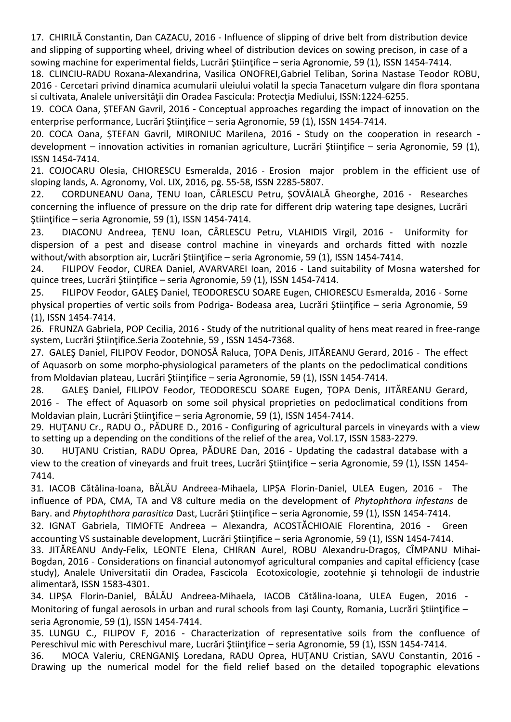17. CHIRILĂ Constantin, Dan CAZACU, 2016 - Influence of slipping of drive belt from distribution device and slipping of supporting wheel, driving wheel of distribution devices on sowing precison, in case of a sowing machine for experimental fields, Lucrări Stiintifice – seria Agronomie, 59 (1), ISSN 1454-7414.

18. CLINCIU-RADU Roxana-Alexandrina, Vasilica ONOFREI,Gabriel Teliban, Sorina Nastase Teodor ROBU, 2016 - Cercetari privind dinamica acumularii uleiului volatil la specia Tanacetum vulgare din flora spontana si cultivata, Analele universităţii din Oradea Fascicula: Protecţia Mediului, ISSN:1224-6255.

19. COCA Oana, ȘTEFAN Gavril, 2016 - Conceptual approaches regarding the impact of innovation on the enterprise performance, Lucrări Ştiinţifice – seria Agronomie, 59 (1), ISSN 1454-7414.

20. COCA Oana, ȘTEFAN Gavril, MIRONIUC Marilena, 2016 - Study on the cooperation in research development – innovation activities in romanian agriculture, Lucrări Științifice – seria Agronomie, 59 (1), ISSN 1454-7414.

21. COJOCARU Olesia, CHIORESCU Esmeralda, 2016 - Erosion major problem in the efficient use of sloping lands, A. Agronomy, Vol. LIX, 2016, pg. 55-58, ISSN 2285-5807.

22. CORDUNEANU Oana, ȚENU Ioan, CÂRLESCU Petru, ȘOVĂIALĂ Gheorghe, 2016 - Researches concerning the influence of pressure on the drip rate for different drip watering tape designes, Lucrări Ştiinţifice – seria Agronomie, 59 (1), ISSN 1454-7414.

23. DIACONU Andreea, ȚENU Ioan, CÂRLESCU Petru, VLAHIDIS Virgil, 2016 - Uniformity for dispersion of a pest and disease control machine in vineyards and orchards fitted with nozzle without/with absorption air, Lucrări Stiințifice – seria Agronomie, 59 (1), ISSN 1454-7414.

24. FILIPOV Feodor, CUREA Daniel, AVARVAREI Ioan, 2016 - Land suitability of Mosna watershed for quince trees, Lucrări Ştiinţifice – seria Agronomie, 59 (1), ISSN 1454-7414.

25. FILIPOV Feodor, GALEŞ Daniel, TEODORESCU SOARE Eugen, CHIORESCU Esmeralda, 2016 - Some physical properties of vertic soils from Podriga- Bodeasa area, Lucrări Ştiinţifice – seria Agronomie, 59 (1), ISSN 1454-7414.

26. FRUNZA Gabriela, POP Cecilia, 2016 - Study of the nutritional quality of hens meat reared in free-range system, Lucrări Ştiinţifice.Seria Zootehnie, 59 , ISSN 1454-7368.

27. GALEŞ Daniel, FILIPOV Feodor, DONOSĂ Raluca, ȚOPA Denis, JITĂREANU Gerard, 2016 - The effect of Aquasorb on some morpho-physiological parameters of the plants on the pedoclimatical conditions from Moldavian plateau, Lucrări Ştiinţifice – seria Agronomie, 59 (1), ISSN 1454-7414.

28. GALEŞ Daniel, FILIPOV Feodor, TEODORESCU SOARE Eugen, ȚOPA Denis, JITĂREANU Gerard, 2016 - The effect of Aquasorb on some soil physical proprieties on pedoclimatical conditions from Moldavian plain, Lucrări Ştiinţifice – seria Agronomie, 59 (1), ISSN 1454-7414.

29. HUŢANU Cr., RADU O., PĂDURE D., 2016 - Configuring of agricultural parcels in vineyards with a view to setting up a depending on the conditions of the relief of the area, Vol.17, ISSN 1583-2279.

30. HUŢANU Cristian, RADU Oprea, PĂDURE Dan, 2016 - Updating the cadastral database with a view to the creation of vineyards and fruit trees, Lucrări Ştiinţifice – seria Agronomie, 59 (1), ISSN 1454- 7414.

31. IACOB Cătălina-Ioana, BĂLĂU Andreea-Mihaela, LIPȘA Florin-Daniel, ULEA Eugen, 2016 - The influence of PDA, CMA, TA and V8 culture media on the development of *Phytophthora infestans* de Bary. and *Phytophthora parasitica* Dast, Lucrări Ştiinţifice – seria Agronomie, 59 (1), ISSN 1454-7414.

32. IGNAT Gabriela, TIMOFTE Andreea – Alexandra, ACOSTĂCHIOAIE Florentina, 2016 - Green accounting VS sustainable development, Lucrări Ştiinţifice – seria Agronomie, 59 (1), ISSN 1454-7414.

33. JITĂREANU Andy-Felix, LEONTE Elena, CHIRAN Aurel, ROBU Alexandru-Dragoș, CÎMPANU Mihai-Bogdan, 2016 - Considerations on financial autonomyof agricultural companies and capital efficiency (case study), Analele Universitatii din Oradea, Fascicola Ecotoxicologie, zootehnie şi tehnologii de industrie alimentară, ISSN 1583-4301.

34. LIPȘA Florin-Daniel, BĂLĂU Andreea-Mihaela, IACOB Cătălina-Ioana, ULEA Eugen, 2016 - Monitoring of fungal aerosols in urban and rural schools from Iasi County. Romania, Lucrări Stiintifice – seria Agronomie, 59 (1), ISSN 1454-7414.

35. LUNGU C., FILIPOV F, 2016 - Characterization of representative soils from the confluence of Pereschivul mic with Pereschivul mare, Lucrări Stiintifice – seria Agronomie, 59 (1), ISSN 1454-7414.

36. MOCA Valeriu, CRENGANIŞ Loredana, RADU Oprea, HUŢANU Cristian, SAVU Constantin, 2016 - Drawing up the numerical model for the field relief based on the detailed topographic elevations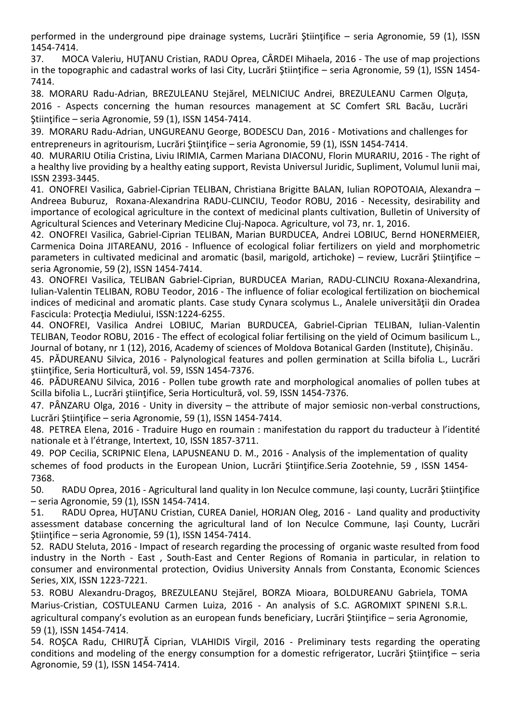performed in the underground pipe drainage systems, Lucrări Ştiinţifice – seria Agronomie, 59 (1), ISSN 1454-7414.

37. MOCA Valeriu, HUŢANU Cristian, RADU Oprea, CÂRDEI Mihaela, 2016 - The use of map projections in the topographic and cadastral works of Iasi City, Lucrări Ştiinţifice – seria Agronomie, 59 (1), ISSN 1454- 7414.

38. MORARU Radu-Adrian, BREZULEANU Stejărel, MELNICIUC Andrei, BREZULEANU Carmen Olguța, 2016 - Aspects concerning the human resources management at SC Comfert SRL Bacău, Lucrări Stiintifice – seria Agronomie, 59 (1), ISSN 1454-7414.

39. MORARU Radu-Adrian, UNGUREANU George, BODESCU Dan, 2016 - Motivations and challenges for entrepreneurs in agritourism, Lucrări Științifice – seria Agronomie, 59 (1), ISSN 1454-7414.

40. MURARIU Otilia Cristina, Liviu IRIMIA, Carmen Mariana DIACONU, Florin MURARIU, 2016 - The right of a healthy live providing by a healthy eating support, Revista Universul Juridic, Supliment, Volumul lunii mai, ISSN 2393-3445.

41. ONOFREI Vasilica, Gabriel-Ciprian TELIBAN, Christiana Brigitte BALAN, Iulian ROPOTOAIA, Alexandra – Andreea Buburuz, Roxana-Alexandrina RADU-CLINCIU, Teodor ROBU, 2016 - Necessity, desirability and importance of ecological agriculture in the context of medicinal plants cultivation, Bulletin of University of Agricultural Sciences and Veterinary Medicine Cluj-Napoca. Agriculture, vol 73, nr. 1, 2016.

42. ONOFREI Vasilica, Gabriel-Ciprian TELIBAN, Marian BURDUCEA, Andrei LOBIUC, Bernd HONERMEIER, Carmenica Doina JITAREANU, 2016 - Influence of ecological foliar fertilizers on yield and morphometric parameters in cultivated medicinal and aromatic (basil, marigold, artichoke) – review, Lucrări Ştiinţifice – seria Agronomie, 59 (2), ISSN 1454-7414.

43. ONOFREI Vasilica, TELIBAN Gabriel-Ciprian, BURDUCEA Marian, RADU-CLINCIU Roxana-Alexandrina, Iulian-Valentin TELIBAN, ROBU Teodor, 2016 - The influence of foliar ecological fertilization on biochemical indices of medicinal and aromatic plants. Case study Cynara scolymus L., Analele universității din Oradea Fascicula: Protecţia Mediului, ISSN:1224-6255.

44. ONOFREI, Vasilica Andrei LOBIUC, Marian BURDUCEA, Gabriel-Ciprian TELIBAN, Iulian-Valentin TELIBAN, Teodor ROBU, 2016 - The effect of ecological foliar fertilising on the yield of Ocimum basilicum L., Journal of botany, nr 1 (12), 2016, Academy of sciences of Moldova Botanical Garden (Institute), Chișinău.

45. PĂDUREANU Silvica, 2016 - Palynological features and pollen germination at Scilla bifolia L., Lucrări ştiinţifice, Seria Horticultură, vol. 59, ISSN 1454-7376.

46. PĂDUREANU Silvica, 2016 - Pollen tube growth rate and morphological anomalies of pollen tubes at Scilla bifolia L., Lucrări ştiinţifice, Seria Horticultură, vol. 59, ISSN 1454-7376.

47. PÂNZARU Olga, 2016 - Unity in diversity – the attribute of major semiosic non-verbal constructions, Lucrări Stiintifice – seria Agronomie, 59 (1), ISSN 1454-7414.

48. PETREA Elena, 2016 - Traduire Hugo en roumain : manifestation du rapport du traducteur à l'identité nationale et à l'étrange, Intertext, 10, ISSN 1857-3711.

49. POP Cecilia, SCRIPNIC Elena, LAPUSNEANU D. M., 2016 - Analysis of the implementation of quality schemes of food products in the European Union, Lucrări Ştiinţifice.Seria Zootehnie, 59 , ISSN 1454- 7368.

50. RADU Oprea, 2016 - Agricultural land quality in Ion Neculce commune, Iași county, Lucrări Ştiinţifice – seria Agronomie, 59 (1), ISSN 1454-7414.

51. RADU Oprea, HUŢANU Cristian, CUREA Daniel, HORJAN Oleg, 2016 - Land quality and productivity assessment database concerning the agricultural land of Ion Neculce Commune, Iași County, Lucrări Stiințifice – seria Agronomie, 59 (1), ISSN 1454-7414.

52. RADU Steluta, 2016 - Impact of research regarding the processing of organic waste resulted from food industry in the North - East , South-East and Center Regions of Romania in particular, in relation to consumer and environmental protection, Ovidius University Annals from Constanta, Economic Sciences Series, XIX, ISSN 1223-7221.

53. ROBU Alexandru-Dragoș, BREZULEANU Stejărel, BORZA Mioara, BOLDUREANU Gabriela, TOMA Marius-Cristian, COSTULEANU Carmen Luiza, 2016 - An analysis of S.C. AGROMIXT SPINENI S.R.L. agricultural company's evolution as an european funds beneficiary, Lucrări Stiintifice – seria Agronomie, 59 (1), ISSN 1454-7414.

54. ROŞCA Radu, CHIRUŢĂ Ciprian, VLAHIDIS Virgil, 2016 - Preliminary tests regarding the operating conditions and modeling of the energy consumption for a domestic refrigerator, Lucrări Științifice – seria Agronomie, 59 (1), ISSN 1454-7414.